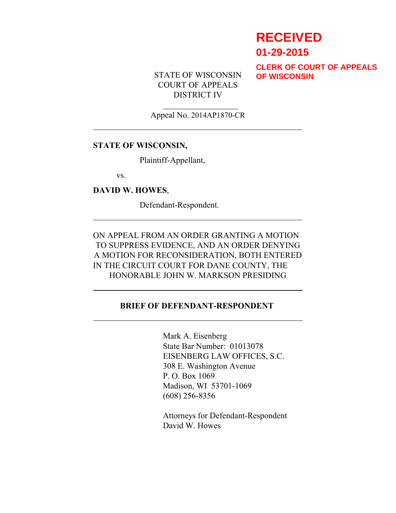# **RECEIVED 01-29-2015**

STATE OF WISCONSIN COURT OF APPEALS DISTRICT IV

**CLERK OF COURT OF APPEALS OF WISCONSIN**

### $\mathcal{L}_\text{max}$  , where  $\mathcal{L}_\text{max}$ Appeal No. 2014AP1870-CR

#### **STATE OF WISCONSIN,**

Plaintiff-Appellant,

vs.

**DAVID W. HOWES**,

Defendant-Respondent.

ON APPEAL FROM AN ORDER GRANTING A MOTION TO SUPPRESS EVIDENCE, AND AN ORDER DENYING A MOTION FOR RECONSIDERATION, BOTH ENTERED IN THE CIRCUIT COURT FOR DANE COUNTY, THE HONORABLE JOHN W. MARKSON PRESIDING

#### **BRIEF OF DEFENDANT-RESPONDENT**

Mark A. Eisenberg State Bar Number: 01013078 EISENBERG LAW OFFICES, S.C. 308 E. Washington Avenue P. O. Box 1069 Madison, WI 53701-1069 (608) 256-8356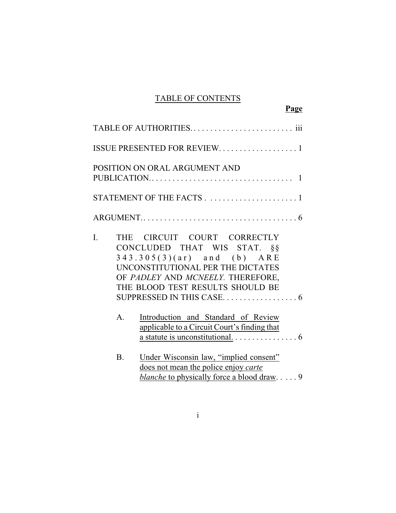## TABLE OF CONTENTS

**Page**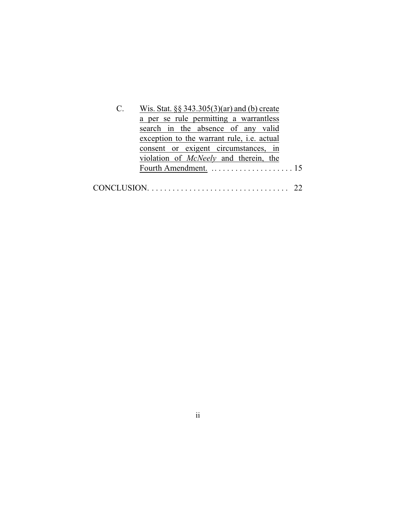| $\mathbf{C}$ . | Wis. Stat. $\S$ § 343.305(3)(ar) and (b) create   |
|----------------|---------------------------------------------------|
|                | a per se rule permitting a warrantless            |
|                | search in the absence of any valid                |
|                | exception to the warrant rule, <i>i.e.</i> actual |
|                | consent or exigent circumstances, in              |
|                | violation of <i>McNeely</i> and therein, the      |
|                |                                                   |
|                |                                                   |
|                |                                                   |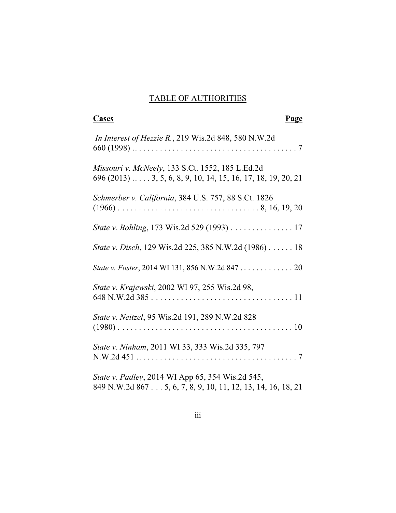## TABLE OF AUTHORITIES

| Cases<br>Page                                                                                                               |
|-----------------------------------------------------------------------------------------------------------------------------|
| In Interest of Hezzie R., 219 Wis.2d 848, 580 N.W.2d                                                                        |
| Missouri v. McNeely, 133 S.Ct. 1552, 185 L.Ed.2d<br>$696 (2013) \ldots$ $3, 5, 6, 8, 9, 10, 14, 15, 16, 17, 18, 19, 20, 21$ |
| Schmerber v. California, 384 U.S. 757, 88 S.Ct. 1826                                                                        |
| State v. Bohling, 173 Wis.2d 529 (1993) 17                                                                                  |
| <i>State v. Disch</i> , 129 Wis.2d 225, 385 N.W.2d (1986) 18                                                                |
|                                                                                                                             |
| State v. Krajewski, 2002 WI 97, 255 Wis.2d 98,                                                                              |
| State v. Neitzel, 95 Wis.2d 191, 289 N.W.2d 828                                                                             |
| State v. Ninham, 2011 WI 33, 333 Wis.2d 335, 797                                                                            |
| State v. Padley, 2014 WI App 65, 354 Wis.2d 545,<br>849 N.W.2d 867 5, 6, 7, 8, 9, 10, 11, 12, 13, 14, 16, 18, 21            |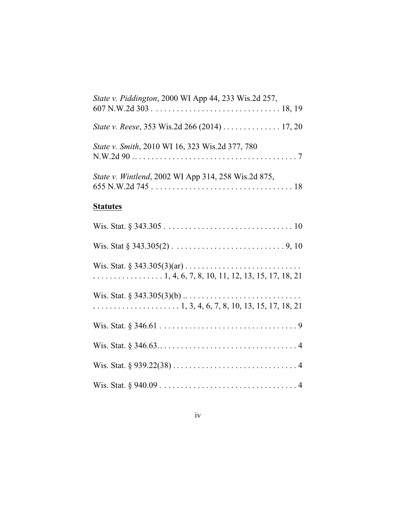| State v. Piddington, 2000 WI App 44, 233 Wis.2d 257,       |
|------------------------------------------------------------|
| State v. Reese, 353 Wis.2d 266 (2014) 17, 20               |
| State v. Smith, 2010 WI 16, 323 Wis.2d 377, 780            |
| <i>State v. Wintlend, 2002 WI App 314, 258 Wis.2d 875,</i> |

## **Statutes**

| $\ldots$ 1, 4, 6, 7, 8, 10, 11, 12, 13, 15, 17, 18, 21 |
|--------------------------------------------------------|
|                                                        |
|                                                        |
|                                                        |
|                                                        |
|                                                        |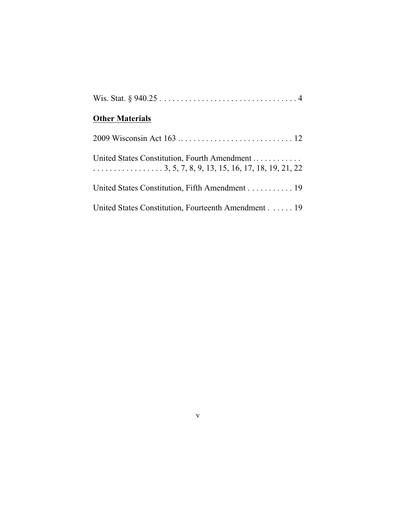# **Other Materials**

| United States Constitution, Fourth Amendment<br>$\ldots \ldots \ldots \ldots \ldots 3, 5, 7, 8, 9, 13, 15, 16, 17, 18, 19, 21, 22$ |
|------------------------------------------------------------------------------------------------------------------------------------|
| United States Constitution, Fifth Amendment 19                                                                                     |
| United States Constitution, Fourteenth Amendment 19                                                                                |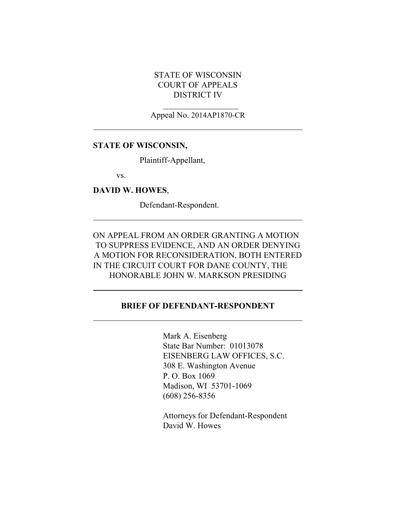## STATE OF WISCONSIN COURT OF APPEALS DISTRICT IV

 $\mathcal{L}_\text{max}$  , where  $\mathcal{L}_\text{max}$ Appeal No. 2014AP1870-CR

#### **STATE OF WISCONSIN,**

Plaintiff-Appellant,

vs.

**DAVID W. HOWES**,

Defendant-Respondent.

ON APPEAL FROM AN ORDER GRANTING A MOTION TO SUPPRESS EVIDENCE, AND AN ORDER DENYING A MOTION FOR RECONSIDERATION, BOTH ENTERED IN THE CIRCUIT COURT FOR DANE COUNTY, THE HONORABLE JOHN W. MARKSON PRESIDING

## **BRIEF OF DEFENDANT-RESPONDENT**

Mark A. Eisenberg State Bar Number: 01013078 EISENBERG LAW OFFICES, S.C. 308 E. Washington Avenue P. O. Box 1069 Madison, WI 53701-1069 (608) 256-8356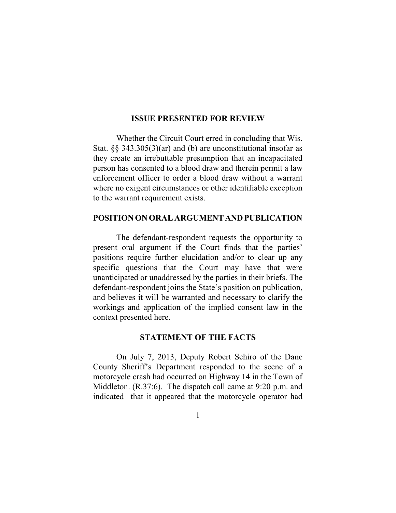#### **ISSUE PRESENTED FOR REVIEW**

Whether the Circuit Court erred in concluding that Wis. Stat. §§ 343.305(3)(ar) and (b) are unconstitutional insofar as they create an irrebuttable presumption that an incapacitated person has consented to a blood draw and therein permit a law enforcement officer to order a blood draw without a warrant where no exigent circumstances or other identifiable exception to the warrant requirement exists.

#### **POSITION ON ORAL ARGUMENTANDPUBLICATION**

The defendant-respondent requests the opportunity to present oral argument if the Court finds that the parties' positions require further elucidation and/or to clear up any specific questions that the Court may have that were unanticipated or unaddressed by the parties in their briefs. The defendant-respondent joins the State's position on publication, and believes it will be warranted and necessary to clarify the workings and application of the implied consent law in the context presented here.

#### **STATEMENT OF THE FACTS**

On July 7, 2013, Deputy Robert Schiro of the Dane County Sheriff's Department responded to the scene of a motorcycle crash had occurred on Highway 14 in the Town of Middleton. (R.37:6). The dispatch call came at 9:20 p.m. and indicated that it appeared that the motorcycle operator had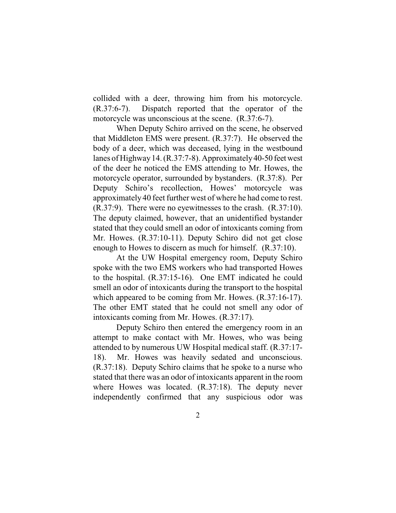collided with a deer, throwing him from his motorcycle. (R.37:6-7). Dispatch reported that the operator of the motorcycle was unconscious at the scene. (R.37:6-7).

When Deputy Schiro arrived on the scene, he observed that Middleton EMS were present. (R.37:7). He observed the body of a deer, which was deceased, lying in the westbound lanes of Highway 14. (R.37:7-8). Approximately 40-50 feet west of the deer he noticed the EMS attending to Mr. Howes, the motorcycle operator, surrounded by bystanders. (R.37:8). Per Deputy Schiro's recollection, Howes' motorcycle was approximately 40 feet further west of where he had come to rest. (R.37:9). There were no eyewitnesses to the crash. (R.37:10). The deputy claimed, however, that an unidentified bystander stated that they could smell an odor of intoxicants coming from Mr. Howes. (R.37:10-11). Deputy Schiro did not get close enough to Howes to discern as much for himself. (R.37:10).

At the UW Hospital emergency room, Deputy Schiro spoke with the two EMS workers who had transported Howes to the hospital. (R.37:15-16). One EMT indicated he could smell an odor of intoxicants during the transport to the hospital which appeared to be coming from Mr. Howes. (R.37:16-17). The other EMT stated that he could not smell any odor of intoxicants coming from Mr. Howes. (R.37:17).

Deputy Schiro then entered the emergency room in an attempt to make contact with Mr. Howes, who was being attended to by numerous UW Hospital medical staff. (R.37:17- 18). Mr. Howes was heavily sedated and unconscious. (R.37:18). Deputy Schiro claims that he spoke to a nurse who stated that there was an odor of intoxicants apparent in the room where Howes was located. (R.37:18). The deputy never independently confirmed that any suspicious odor was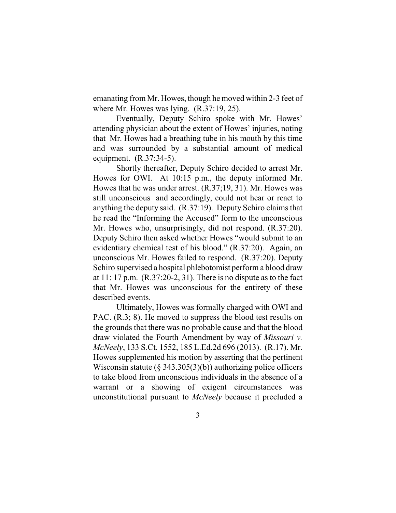emanating from Mr. Howes, though he moved within 2-3 feet of where Mr. Howes was lying. (R.37:19, 25).

Eventually, Deputy Schiro spoke with Mr. Howes' attending physician about the extent of Howes' injuries, noting that Mr. Howes had a breathing tube in his mouth by this time and was surrounded by a substantial amount of medical equipment. (R.37:34-5).

Shortly thereafter, Deputy Schiro decided to arrest Mr. Howes for OWI. At 10:15 p.m., the deputy informed Mr. Howes that he was under arrest. (R.37;19, 31). Mr. Howes was still unconscious and accordingly, could not hear or react to anything the deputy said. (R.37:19). Deputy Schiro claims that he read the "Informing the Accused" form to the unconscious Mr. Howes who, unsurprisingly, did not respond. (R.37:20). Deputy Schiro then asked whether Howes "would submit to an evidentiary chemical test of his blood." (R.37:20). Again, an unconscious Mr. Howes failed to respond. (R.37:20). Deputy Schiro supervised a hospital phlebotomist perform a blood draw at  $11: 17$  p.m.  $(R.37:20-2, 31)$ . There is no dispute as to the fact that Mr. Howes was unconscious for the entirety of these described events.

Ultimately, Howes was formally charged with OWI and PAC. (R.3; 8). He moved to suppress the blood test results on the grounds that there was no probable cause and that the blood draw violated the Fourth Amendment by way of *Missouri v. McNeely*, 133 S.Ct. 1552, 185 L.Ed.2d 696 (2013). (R.17). Mr. Howes supplemented his motion by asserting that the pertinent Wisconsin statute ( $\S$  343.305(3)(b)) authorizing police officers to take blood from unconscious individuals in the absence of a warrant or a showing of exigent circumstances was unconstitutional pursuant to *McNeely* because it precluded a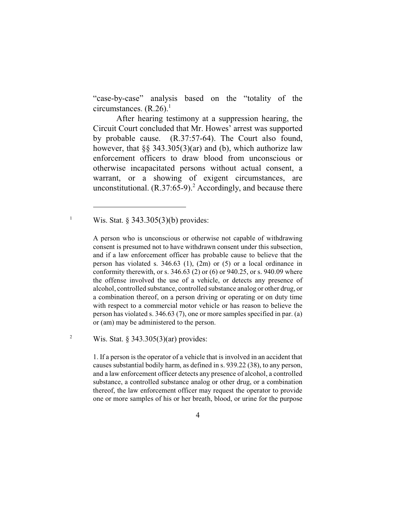"case-by-case" analysis based on the "totality of the circumstances.  $(R.26)$ .<sup>1</sup>

After hearing testimony at a suppression hearing, the Circuit Court concluded that Mr. Howes' arrest was supported by probable cause. (R.37:57-64). The Court also found, however, that  $\S$ § 343.305(3)(ar) and (b), which authorize law enforcement officers to draw blood from unconscious or otherwise incapacitated persons without actual consent, a warrant, or a showing of exigent circumstances, are unconstitutional.  $(R.37:65-9)$ .<sup>2</sup> Accordingly, and because there

<sup>1</sup> Wis. Stat. § 343.305(3)(b) provides:

<sup>2</sup> Wis. Stat. § 343.305(3)(ar) provides:

1. If a person is the operator of a vehicle that is involved in an accident that causes substantial bodily harm, as defined in s. 939.22 (38), to any person, and a law enforcement officer detects any presence of alcohol, a controlled substance, a controlled substance analog or other drug, or a combination thereof, the law enforcement officer may request the operator to provide one or more samples of his or her breath, blood, or urine for the purpose

A person who is unconscious or otherwise not capable of withdrawing consent is presumed not to have withdrawn consent under this subsection, and if a law enforcement officer has probable cause to believe that the person has violated s. 346.63 (1), (2m) or (5) or a local ordinance in conformity therewith, or s. 346.63 (2) or (6) or 940.25, or s. 940.09 where the offense involved the use of a vehicle, or detects any presence of alcohol, controlled substance, controlled substance analog or other drug, or a combination thereof, on a person driving or operating or on duty time with respect to a commercial motor vehicle or has reason to believe the person has violated s. 346.63 (7), one or more samples specified in par. (a) or (am) may be administered to the person.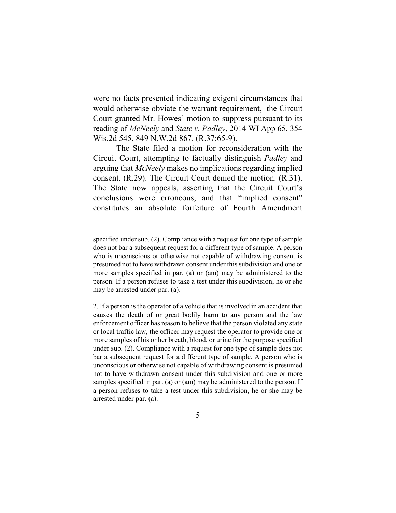were no facts presented indicating exigent circumstances that would otherwise obviate the warrant requirement, the Circuit Court granted Mr. Howes' motion to suppress pursuant to its reading of *McNeely* and *State v. Padley*, 2014 WI App 65, 354 Wis.2d 545, 849 N.W.2d 867. (R.37:65-9).

The State filed a motion for reconsideration with the Circuit Court, attempting to factually distinguish *Padley* and arguing that *McNeely* makes no implications regarding implied consent. (R.29). The Circuit Court denied the motion. (R.31). The State now appeals, asserting that the Circuit Court's conclusions were erroneous, and that "implied consent" constitutes an absolute forfeiture of Fourth Amendment

specified under sub. (2). Compliance with a request for one type of sample does not bar a subsequent request for a different type of sample. A person who is unconscious or otherwise not capable of withdrawing consent is presumed not to have withdrawn consent under this subdivision and one or more samples specified in par. (a) or (am) may be administered to the person. If a person refuses to take a test under this subdivision, he or she may be arrested under par. (a).

<sup>2.</sup> If a person is the operator of a vehicle that is involved in an accident that causes the death of or great bodily harm to any person and the law enforcement officer has reason to believe that the person violated any state or local traffic law, the officer may request the operator to provide one or more samples of his or her breath, blood, or urine for the purpose specified under sub. (2). Compliance with a request for one type of sample does not bar a subsequent request for a different type of sample. A person who is unconscious or otherwise not capable of withdrawing consent is presumed not to have withdrawn consent under this subdivision and one or more samples specified in par. (a) or (am) may be administered to the person. If a person refuses to take a test under this subdivision, he or she may be arrested under par. (a).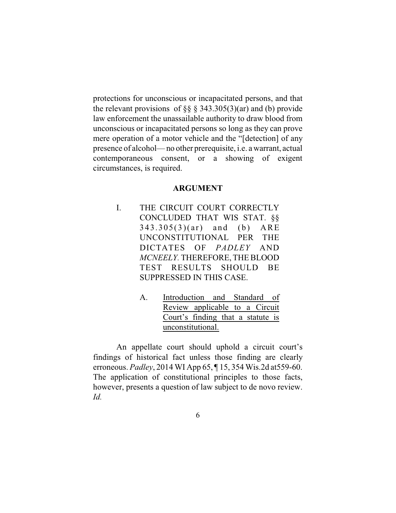protections for unconscious or incapacitated persons, and that the relevant provisions of  $\S$ § § 343.305(3)(ar) and (b) provide law enforcement the unassailable authority to draw blood from unconscious or incapacitated persons so long as they can prove mere operation of a motor vehicle and the "[detection] of any presence of alcohol— no other prerequisite, i.e. a warrant, actual contemporaneous consent, or a showing of exigent circumstances, is required.

#### **ARGUMENT**

- I. THE CIRCUIT COURT CORRECTLY CONCLUDED THAT WIS STAT. §§  $343.305(3)(ar)$  and (b) ARE UNCONSTITUTIONAL PER THE DICTATES OF *PADLEY* AND *MCNEELY.* THEREFORE, THE BLOOD TEST RESULTS SHOULD BE SUPPRESSED IN THIS CASE.
	- A. Introduction and Standard of Review applicable to a Circuit Court's finding that a statute is unconstitutional.

An appellate court should uphold a circuit court's findings of historical fact unless those finding are clearly erroneous. *Padley*, 2014 WI App 65, ¶ 15, 354 Wis.2d at559-60. The application of constitutional principles to those facts, however, presents a question of law subject to de novo review. *Id.*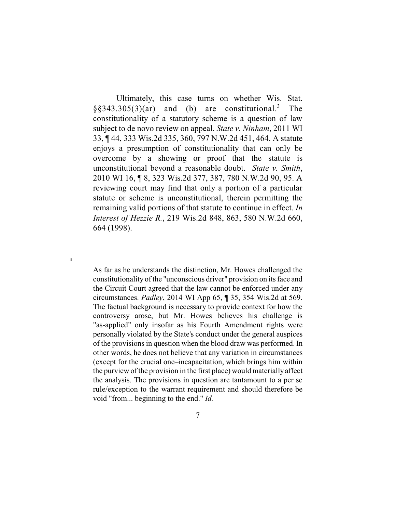Ultimately, this case turns on whether Wis. Stat.  $\S$ \$343.305(3)(ar) and (b) are constitutional.<sup>3</sup> The constitutionality of a statutory scheme is a question of law subject to de novo review on appeal. *State v. Ninham*, 2011 WI 33, ¶ 44, 333 Wis.2d 335, 360, 797 N.W.2d 451, 464. A statute enjoys a presumption of constitutionality that can only be overcome by a showing or proof that the statute is unconstitutional beyond a reasonable doubt. *State v. Smith*, 2010 WI 16, ¶ 8, 323 Wis.2d 377, 387, 780 N.W.2d 90, 95. A reviewing court may find that only a portion of a particular statute or scheme is unconstitutional, therein permitting the remaining valid portions of that statute to continue in effect. *In Interest of Hezzie R.*, 219 Wis.2d 848, 863, 580 N.W.2d 660, 664 (1998).

As far as he understands the distinction, Mr. Howes challenged the constitutionality of the "unconscious driver" provision on its face and the Circuit Court agreed that the law cannot be enforced under any circumstances. *Padley*, 2014 WI App 65, ¶ 35, 354 Wis.2d at 569. The factual background is necessary to provide context for how the controversy arose, but Mr. Howes believes his challenge is "as-applied" only insofar as his Fourth Amendment rights were personally violated by the State's conduct under the general auspices of the provisions in question when the blood draw was performed. In other words, he does not believe that any variation in circumstances (except for the crucial one–incapacitation, which brings him within the purview of the provision in the first place) would materially affect the analysis. The provisions in question are tantamount to a per se rule/exception to the warrant requirement and should therefore be void "from... beginning to the end." *Id.*

3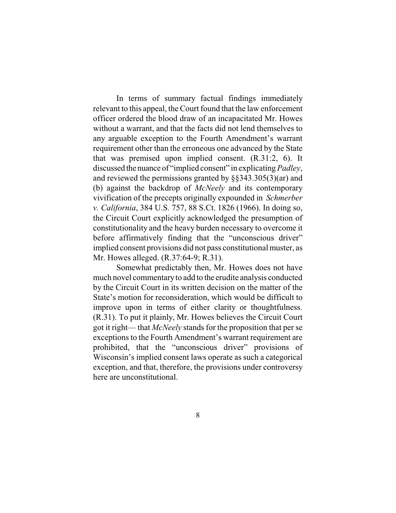In terms of summary factual findings immediately relevant to this appeal, the Court found that the law enforcement officer ordered the blood draw of an incapacitated Mr. Howes without a warrant, and that the facts did not lend themselves to any arguable exception to the Fourth Amendment's warrant requirement other than the erroneous one advanced by the State that was premised upon implied consent. (R.31:2, 6). It discussed the nuance of "implied consent" in explicating *Padley*, and reviewed the permissions granted by §§343.305(3)(ar) and (b) against the backdrop of *McNeely* and its contemporary vivification of the precepts originally expounded in *Schmerber v. California*, 384 U.S. 757, 88 S.Ct. 1826 (1966). In doing so, the Circuit Court explicitly acknowledged the presumption of constitutionality and the heavy burden necessary to overcome it before affirmatively finding that the "unconscious driver" implied consent provisions did not pass constitutional muster, as Mr. Howes alleged. (R.37:64-9; R.31).

Somewhat predictably then, Mr. Howes does not have much novel commentaryto add to the erudite analysis conducted by the Circuit Court in its written decision on the matter of the State's motion for reconsideration, which would be difficult to improve upon in terms of either clarity or thoughtfulness. (R.31). To put it plainly, Mr. Howes believes the Circuit Court got it right— that *McNeely* stands for the proposition that per se exceptions to the Fourth Amendment's warrant requirement are prohibited, that the "unconscious driver" provisions of Wisconsin's implied consent laws operate as such a categorical exception, and that, therefore, the provisions under controversy here are unconstitutional.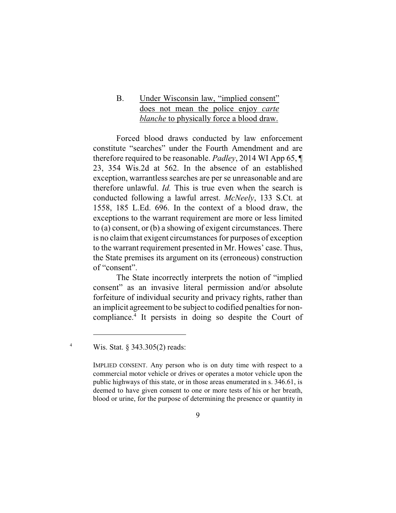B. Under Wisconsin law, "implied consent" does not mean the police enjoy *carte blanche* to physically force a blood draw.

Forced blood draws conducted by law enforcement constitute "searches" under the Fourth Amendment and are therefore required to be reasonable. *Padley*, 2014 WI App 65, ¶ 23, 354 Wis.2d at 562. In the absence of an established exception, warrantless searches are per se unreasonable and are therefore unlawful. *Id.* This is true even when the search is conducted following a lawful arrest. *McNeely*, 133 S.Ct. at 1558, 185 L.Ed. 696. In the context of a blood draw, the exceptions to the warrant requirement are more or less limited to (a) consent, or (b) a showing of exigent circumstances. There is no claim that exigent circumstances for purposes of exception to the warrant requirement presented in Mr. Howes' case. Thus, the State premises its argument on its (erroneous) construction of "consent".

The State incorrectly interprets the notion of "implied consent" as an invasive literal permission and/or absolute forfeiture of individual security and privacy rights, rather than an implicit agreement to be subject to codified penalties for noncompliance.<sup>4</sup> It persists in doing so despite the Court of

<sup>4</sup> Wis. Stat. § 343.305(2) reads:

IMPLIED CONSENT. Any person who is on duty time with respect to a commercial motor vehicle or drives or operates a motor vehicle upon the public highways of this state, or in those areas enumerated in s. 346.61, is deemed to have given consent to one or more tests of his or her breath, blood or urine, for the purpose of determining the presence or quantity in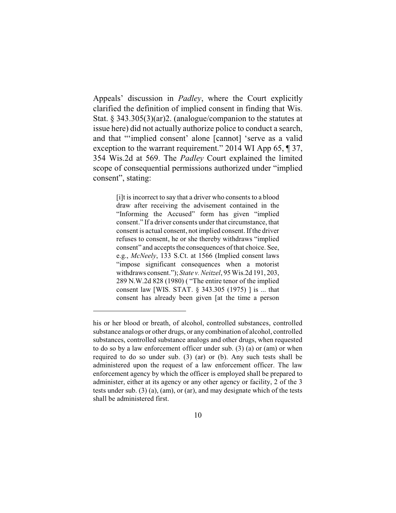Appeals' discussion in *Padley*, where the Court explicitly clarified the definition of implied consent in finding that Wis. Stat. § 343.305(3)(ar)2. (analogue/companion to the statutes at issue here) did not actually authorize police to conduct a search, and that "'implied consent' alone [cannot] 'serve as a valid exception to the warrant requirement." 2014 WI App 65, ¶ 37, 354 Wis.2d at 569. The *Padley* Court explained the limited scope of consequential permissions authorized under "implied consent", stating:

> [i]t is incorrect to say that a driver who consents to a blood draw after receiving the advisement contained in the "Informing the Accused" form has given "implied consent." If a driver consents under that circumstance, that consent is actual consent, not implied consent. If the driver refuses to consent, he or she thereby withdraws "implied consent" and accepts the consequences of that choice. See, e.g., *McNeely*, 133 S.Ct. at 1566 (Implied consent laws "impose significant consequences when a motorist withdraws consent."); *State v. Neitzel*, 95 Wis.2d 191, 203, 289 N.W.2d 828 (1980) ( "The entire tenor of the implied consent law [WIS. STAT. § 343.305 (1975) ] is ... that consent has already been given [at the time a person

his or her blood or breath, of alcohol, controlled substances, controlled substance analogs or other drugs, or any combination of alcohol, controlled substances, controlled substance analogs and other drugs, when requested to do so by a law enforcement officer under sub. (3) (a) or (am) or when required to do so under sub. (3) (ar) or (b). Any such tests shall be administered upon the request of a law enforcement officer. The law enforcement agency by which the officer is employed shall be prepared to administer, either at its agency or any other agency or facility, 2 of the 3 tests under sub. (3) (a), (am), or (ar), and may designate which of the tests shall be administered first.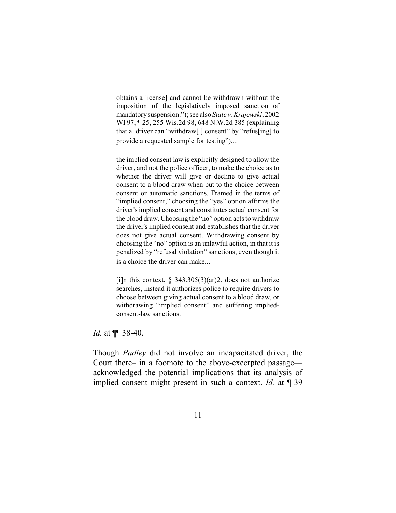obtains a license] and cannot be withdrawn without the imposition of the legislatively imposed sanction of mandatory suspension."); see also *State v. Krajewski*, 2002 WI 97, 125, 255 Wis.2d 98, 648 N.W.2d 385 (explaining that a driver can "withdraw[ ] consent" by "refus[ing] to provide a requested sample for testing")...

the implied consent law is explicitly designed to allow the driver, and not the police officer, to make the choice as to whether the driver will give or decline to give actual consent to a blood draw when put to the choice between consent or automatic sanctions. Framed in the terms of "implied consent," choosing the "yes" option affirms the driver's implied consent and constitutes actual consent for the blood draw. Choosing the "no" option acts to withdraw the driver's implied consent and establishes that the driver does not give actual consent. Withdrawing consent by choosing the "no" option is an unlawful action, in that it is penalized by "refusal violation" sanctions, even though it is a choice the driver can make...

[i]n this context,  $\S$  343.305(3)(ar)2. does not authorize searches, instead it authorizes police to require drivers to choose between giving actual consent to a blood draw, or withdrawing "implied consent" and suffering impliedconsent-law sanctions.

*Id.* at ¶¶ 38-40.

Though *Padley* did not involve an incapacitated driver, the Court there– in a footnote to the above-excerpted passage acknowledged the potential implications that its analysis of implied consent might present in such a context. *Id.* at ¶ 39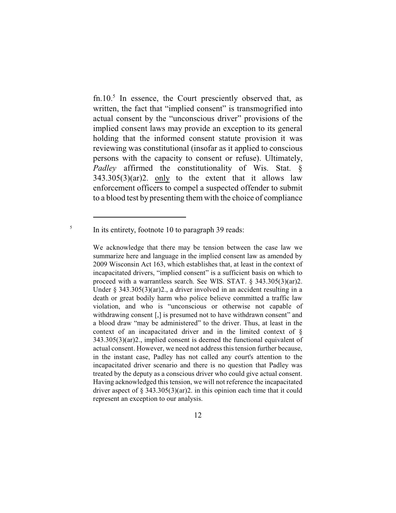fn.10.<sup>5</sup> In essence, the Court presciently observed that, as written, the fact that "implied consent" is transmogrified into actual consent by the "unconscious driver" provisions of the implied consent laws may provide an exception to its general holding that the informed consent statute provision it was reviewing was constitutional (insofar as it applied to conscious persons with the capacity to consent or refuse). Ultimately, *Padley* affirmed the constitutionality of Wis. Stat. §  $343.305(3)(ar)2$ . only to the extent that it allows law enforcement officers to compel a suspected offender to submit to a blood test by presenting them with the choice of compliance

<sup>5</sup> In its entirety, footnote 10 to paragraph 39 reads:

We acknowledge that there may be tension between the case law we summarize here and language in the implied consent law as amended by 2009 Wisconsin Act 163, which establishes that, at least in the context of incapacitated drivers, "implied consent" is a sufficient basis on which to proceed with a warrantless search. See WIS. STAT. § 343.305(3)(ar)2. Under § 343.305(3)(ar)2., a driver involved in an accident resulting in a death or great bodily harm who police believe committed a traffic law violation, and who is "unconscious or otherwise not capable of withdrawing consent [,] is presumed not to have withdrawn consent" and a blood draw "may be administered" to the driver. Thus, at least in the context of an incapacitated driver and in the limited context of § 343.305(3)(ar)2., implied consent is deemed the functional equivalent of actual consent. However, we need not address this tension further because, in the instant case, Padley has not called any court's attention to the incapacitated driver scenario and there is no question that Padley was treated by the deputy as a conscious driver who could give actual consent. Having acknowledged this tension, we will not reference the incapacitated driver aspect of  $\S 343.305(3)(ar)2$ . in this opinion each time that it could represent an exception to our analysis.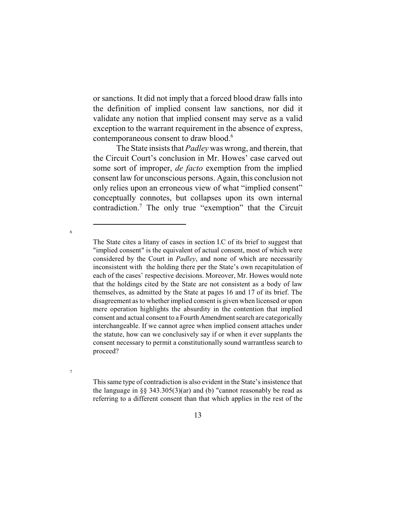or sanctions. It did not imply that a forced blood draw falls into the definition of implied consent law sanctions, nor did it validate any notion that implied consent may serve as a valid exception to the warrant requirement in the absence of express, contemporaneous consent to draw blood.<sup>6</sup>

The State insists that *Padley* was wrong, and therein, that the Circuit Court's conclusion in Mr. Howes' case carved out some sort of improper, *de facto* exemption from the implied consent law for unconscious persons. Again, this conclusion not only relies upon an erroneous view of what "implied consent" conceptually connotes, but collapses upon its own internal contradiction.<sup>7</sup> The only true "exemption" that the Circuit

6

7

This same type of contradiction is also evident in the State's insistence that the language in  $\S$ § 343.305(3)(ar) and (b) "cannot reasonably be read as referring to a different consent than that which applies in the rest of the

The State cites a litany of cases in section I.C of its brief to suggest that "implied consent" is the equivalent of actual consent, most of which were considered by the Court in *Padley*, and none of which are necessarily inconsistent with the holding there per the State's own recapitulation of each of the cases' respective decisions. Moreover, Mr. Howes would note that the holdings cited by the State are not consistent as a body of law themselves, as admitted by the State at pages 16 and 17 of its brief. The disagreement as to whether implied consent is given when licensed or upon mere operation highlights the absurdity in the contention that implied consent and actual consent to a Fourth Amendment search are categorically interchangeable. If we cannot agree when implied consent attaches under the statute, how can we conclusively say if or when it ever supplants the consent necessary to permit a constitutionally sound warrantless search to proceed?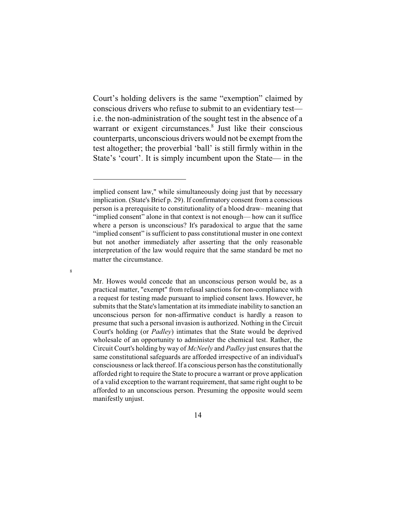Court's holding delivers is the same "exemption" claimed by conscious drivers who refuse to submit to an evidentiary test i.e. the non-administration of the sought test in the absence of a warrant or exigent circumstances.<sup>8</sup> Just like their conscious counterparts, unconscious drivers would not be exempt fromthe test altogether; the proverbial 'ball' is still firmly within in the State's 'court'. It is simply incumbent upon the State— in the

8

Mr. Howes would concede that an unconscious person would be, as a practical matter, "exempt" from refusal sanctions for non-compliance with a request for testing made pursuant to implied consent laws. However, he submits that the State's lamentation at its immediate inability to sanction an unconscious person for non-affirmative conduct is hardly a reason to presume that such a personal invasion is authorized. Nothing in the Circuit Court's holding (or *Padley*) intimates that the State would be deprived wholesale of an opportunity to administer the chemical test. Rather, the Circuit Court's holding by way of *McNeely* and *Padley* just ensures that the same constitutional safeguards are afforded irrespective of an individual's consciousness orlack thereof. If a conscious person has the constitutionally afforded right to require the State to procure a warrant or prove application of a valid exception to the warrant requirement, that same right ought to be afforded to an unconscious person. Presuming the opposite would seem manifestly unjust.

implied consent law," while simultaneously doing just that by necessary implication. (State's Brief p. 29). If confirmatory consent from a conscious person is a prerequisite to constitutionality of a blood draw– meaning that "implied consent" alone in that context is not enough— how can it suffice where a person is unconscious? It's paradoxical to argue that the same "implied consent" is sufficient to pass constitutional muster in one context but not another immediately after asserting that the only reasonable interpretation of the law would require that the same standard be met no matter the circumstance.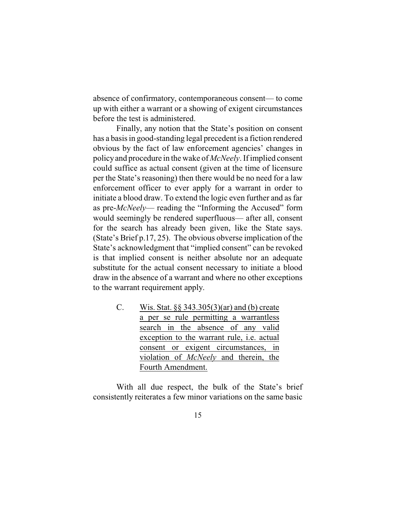absence of confirmatory, contemporaneous consent— to come up with either a warrant or a showing of exigent circumstances before the test is administered.

Finally, any notion that the State's position on consent has a basis in good-standing legal precedent is a fiction rendered obvious by the fact of law enforcement agencies' changes in policyand procedure in the wake of *McNeely*. If implied consent could suffice as actual consent (given at the time of licensure per the State's reasoning) then there would be no need for a law enforcement officer to ever apply for a warrant in order to initiate a blood draw. To extend the logic even further and as far as pre-*McNeely*— reading the "Informing the Accused" form would seemingly be rendered superfluous— after all, consent for the search has already been given, like the State says. (State's Brief p.17, 25). The obvious obverse implication of the State's acknowledgment that "implied consent" can be revoked is that implied consent is neither absolute nor an adequate substitute for the actual consent necessary to initiate a blood draw in the absence of a warrant and where no other exceptions to the warrant requirement apply.

> C. Wis. Stat. §§ 343.305(3)(ar) and (b) create a per se rule permitting a warrantless search in the absence of any valid exception to the warrant rule, i.e. actual consent or exigent circumstances, in violation of *McNeely* and therein, the Fourth Amendment.

With all due respect, the bulk of the State's brief consistently reiterates a few minor variations on the same basic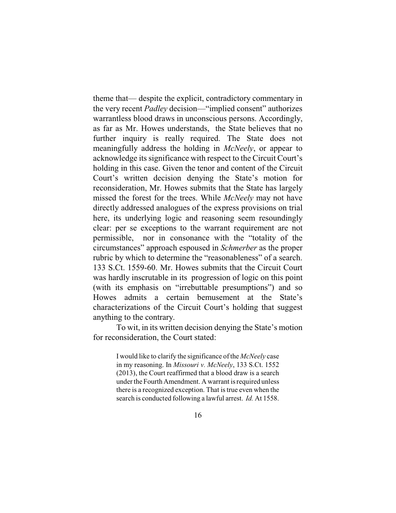theme that— despite the explicit, contradictory commentary in the very recent *Padley* decision—"implied consent" authorizes warrantless blood draws in unconscious persons. Accordingly, as far as Mr. Howes understands, the State believes that no further inquiry is really required. The State does not meaningfully address the holding in *McNeely*, or appear to acknowledge its significance with respect to the Circuit Court's holding in this case. Given the tenor and content of the Circuit Court's written decision denying the State's motion for reconsideration, Mr. Howes submits that the State has largely missed the forest for the trees. While *McNeely* may not have directly addressed analogues of the express provisions on trial here, its underlying logic and reasoning seem resoundingly clear: per se exceptions to the warrant requirement are not permissible, nor in consonance with the "totality of the circumstances" approach espoused in *Schmerber* as the proper rubric by which to determine the "reasonableness" of a search. 133 S.Ct. 1559-60. Mr. Howes submits that the Circuit Court was hardly inscrutable in its progression of logic on this point (with its emphasis on "irrebuttable presumptions") and so Howes admits a certain bemusement at the State's characterizations of the Circuit Court's holding that suggest anything to the contrary.

To wit, in its written decision denying the State's motion for reconsideration, the Court stated:

> I would like to clarify the significance of the *McNeely* case in my reasoning. In *Missouri v. McNeely*, 133 S.Ct. 1552 (2013), the Court reaffirmed that a blood draw is a search under the Fourth Amendment. A warrant is required unless there is a recognized exception. That is true even when the search is conducted following a lawful arrest. *Id.* At 1558.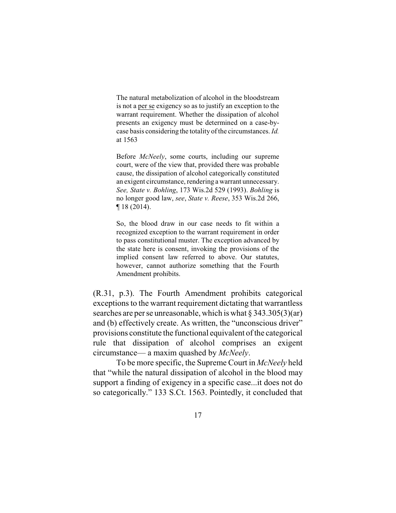The natural metabolization of alcohol in the bloodstream is not a per se exigency so as to justify an exception to the warrant requirement. Whether the dissipation of alcohol presents an exigency must be determined on a case-bycase basis considering the totality of the circumstances. *Id.* at 1563

Before *McNeely*, some courts, including our supreme court, were of the view that, provided there was probable cause, the dissipation of alcohol categorically constituted an exigent circumstance, rendering a warrant unnecessary. *See, State v. Bohling*, 173 Wis.2d 529 (1993). *Bohling* is no longer good law, *see*, *State v. Reese*, 353 Wis.2d 266, ¶ 18 (2014).

So, the blood draw in our case needs to fit within a recognized exception to the warrant requirement in order to pass constitutional muster. The exception advanced by the state here is consent, invoking the provisions of the implied consent law referred to above. Our statutes, however, cannot authorize something that the Fourth Amendment prohibits.

(R.31, p.3). The Fourth Amendment prohibits categorical exceptions to the warrant requirement dictating that warrantless searches are per se unreasonable, which is what § 343.305(3)(ar) and (b) effectively create. As written, the "unconscious driver" provisions constitute the functional equivalent ofthe categorical rule that dissipation of alcohol comprises an exigent circumstance— a maxim quashed by *McNeely*.

To be more specific, the Supreme Court in *McNeely* held that "while the natural dissipation of alcohol in the blood may support a finding of exigency in a specific case...it does not do so categorically." 133 S.Ct. 1563. Pointedly, it concluded that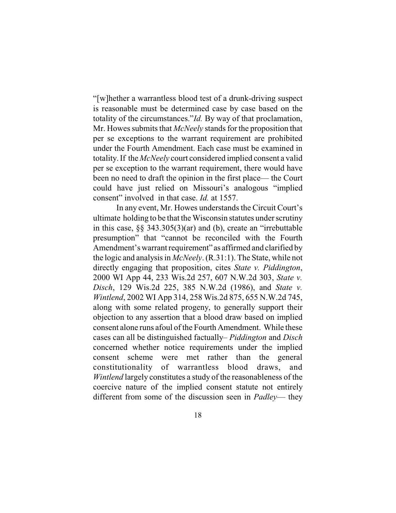"[w]hether a warrantless blood test of a drunk-driving suspect is reasonable must be determined case by case based on the totality of the circumstances."*Id.* By way of that proclamation, Mr. Howes submits that *McNeely* stands for the proposition that per se exceptions to the warrant requirement are prohibited under the Fourth Amendment. Each case must be examined in totality.If the *McNeely* court considered implied consent a valid per se exception to the warrant requirement, there would have been no need to draft the opinion in the first place— the Court could have just relied on Missouri's analogous "implied consent" involved in that case. *Id.* at 1557.

In any event, Mr. Howes understands the Circuit Court's ultimate holding to be that the Wisconsin statutes under scrutiny in this case, §§ 343.305(3)(ar) and (b), create an "irrebuttable presumption" that "cannot be reconciled with the Fourth Amendment's warrant requirement" as affirmed and clarified by the logic and analysis in *McNeely*. (R.31:1). The State, while not directly engaging that proposition, cites *State v. Piddington*, 2000 WI App 44, 233 Wis.2d 257, 607 N.W.2d 303, *State v. Disch*, 129 Wis.2d 225, 385 N.W.2d (1986), and *State v. Wintlend*, 2002 WI App 314, 258 Wis.2d 875, 655 N.W.2d 745, along with some related progeny, to generally support their objection to any assertion that a blood draw based on implied consent alone runs afoul of the Fourth Amendment. While these cases can all be distinguished factually– *Piddington* and *Disch* concerned whether notice requirements under the implied consent scheme were met rather than the general constitutionality of warrantless blood draws, and *Wintlend* largely constitutes a study of the reasonableness of the coercive nature of the implied consent statute not entirely different from some of the discussion seen in *Padley*— they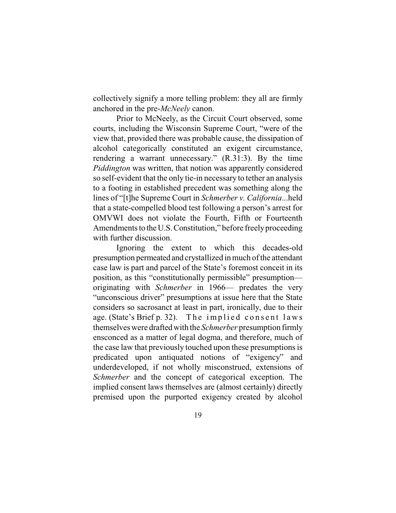collectively signify a more telling problem: they all are firmly anchored in the pre-*McNeely* canon.

Prior to McNeely, as the Circuit Court observed, some courts, including the Wisconsin Supreme Court, "were of the view that, provided there was probable cause, the dissipation of alcohol categorically constituted an exigent circumstance, rendering a warrant unnecessary." (R.31:3). By the time *Piddington* was written, that notion was apparently considered so self-evident that the only tie-in necessary to tether an analysis to a footing in established precedent was something along the lines of "[t]he Supreme Court in *Schmerber v. California*...held that a state-compelled blood test following a person's arrest for OMVWI does not violate the Fourth, Fifth or Fourteenth Amendments to the U.S. Constitution," before freely proceeding with further discussion.

Ignoring the extent to which this decades-old presumption permeated and crystallized in much of the attendant case law is part and parcel of the State's foremost conceit in its position, as this "constitutionally permissible" presumption originating with *Schmerber* in 1966— predates the very "unconscious driver" presumptions at issue here that the State considers so sacrosanct at least in part, ironically, due to their age. (State's Brief p. 32). The implied consent laws themselves were draftedwith the *Schmerber* presumption firmly ensconced as a matter of legal dogma, and therefore, much of the case law that previously touched upon these presumptions is predicated upon antiquated notions of "exigency" and underdeveloped, if not wholly misconstrued, extensions of *Schmerber* and the concept of categorical exception. The implied consent laws themselves are (almost certainly) directly premised upon the purported exigency created by alcohol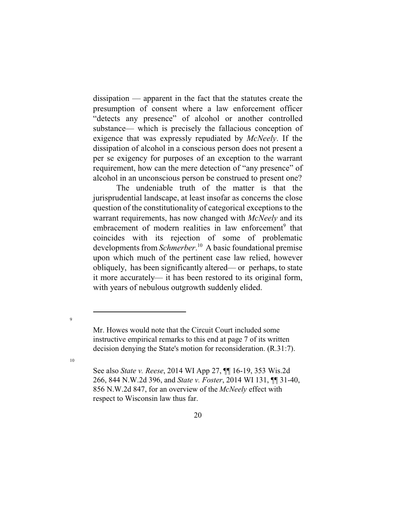dissipation — apparent in the fact that the statutes create the presumption of consent where a law enforcement officer "detects any presence" of alcohol or another controlled substance— which is precisely the fallacious conception of exigence that was expressly repudiated by *McNeely*. If the dissipation of alcohol in a conscious person does not present a per se exigency for purposes of an exception to the warrant requirement, how can the mere detection of "any presence" of alcohol in an unconscious person be construed to present one?

The undeniable truth of the matter is that the jurisprudential landscape, at least insofar as concerns the close question of the constitutionality of categorical exceptions to the warrant requirements, has now changed with *McNeely* and its embracement of modern realities in law enforcement<sup>9</sup> that coincides with its rejection of some of problematic developments from *Schmerber*. <sup>10</sup> A basic foundational premise upon which much of the pertinent case law relied, however obliquely, has been significantly altered— or perhaps, to state it more accurately— it has been restored to its original form, with years of nebulous outgrowth suddenly elided.

9

10

Mr. Howes would note that the Circuit Court included some instructive empirical remarks to this end at page 7 of its written decision denying the State's motion for reconsideration. (R.31:7).

See also *State v. Reese*, 2014 WI App 27, ¶¶ 16-19, 353 Wis.2d 266, 844 N.W.2d 396, and *State v. Foster*, 2014 WI 131, ¶¶ 31-40, 856 N.W.2d 847, for an overview of the *McNeely* effect with respect to Wisconsin law thus far.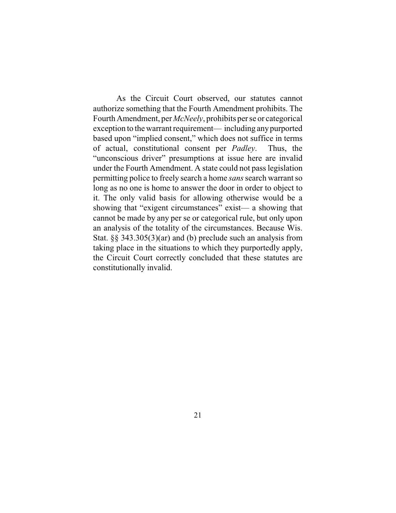As the Circuit Court observed, our statutes cannot authorize something that the Fourth Amendment prohibits. The Fourth Amendment, per *McNeely*, prohibits per se or categorical exception to the warrant requirement— including anypurported based upon "implied consent," which does not suffice in terms of actual, constitutional consent per *Padley*. Thus, the "unconscious driver" presumptions at issue here are invalid under the Fourth Amendment. A state could not pass legislation permitting police to freely search a home *sans*search warrant so long as no one is home to answer the door in order to object to it. The only valid basis for allowing otherwise would be a showing that "exigent circumstances" exist— a showing that cannot be made by any per se or categorical rule, but only upon an analysis of the totality of the circumstances. Because Wis. Stat. §§ 343.305(3)(ar) and (b) preclude such an analysis from taking place in the situations to which they purportedly apply, the Circuit Court correctly concluded that these statutes are constitutionally invalid.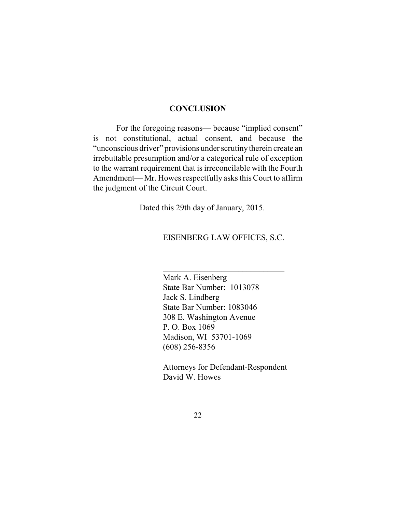#### **CONCLUSION**

For the foregoing reasons— because "implied consent" is not constitutional, actual consent, and because the "unconscious driver" provisions under scrutinytherein create an irrebuttable presumption and/or a categorical rule of exception to the warrant requirement that is irreconcilable with the Fourth Amendment— Mr. Howes respectfully asks this Court to affirm the judgment of the Circuit Court.

Dated this 29th day of January, 2015.

#### EISENBERG LAW OFFICES, S.C.

 $\mathcal{L}_\text{max}$  , where  $\mathcal{L}_\text{max}$  and  $\mathcal{L}_\text{max}$ 

Mark A. Eisenberg State Bar Number: 1013078 Jack S. Lindberg State Bar Number: 1083046 308 E. Washington Avenue P. O. Box 1069 Madison, WI 53701-1069 (608) 256-8356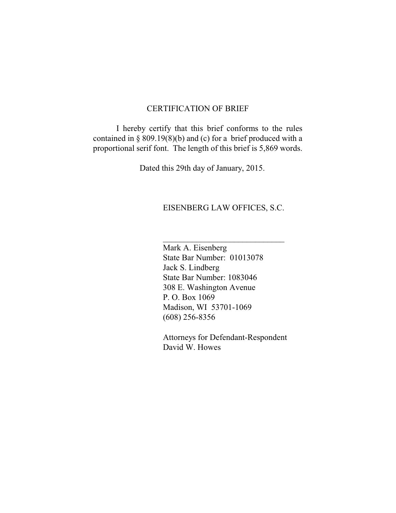#### CERTIFICATION OF BRIEF

I hereby certify that this brief conforms to the rules contained in § 809.19(8)(b) and (c) for a brief produced with a proportional serif font. The length of this brief is 5,869 words.

Dated this 29th day of January, 2015.

### EISENBERG LAW OFFICES, S.C.

 $\overline{\phantom{a}}$  , where  $\overline{\phantom{a}}$  , where  $\overline{\phantom{a}}$  , where  $\overline{\phantom{a}}$  ,  $\overline{\phantom{a}}$  ,  $\overline{\phantom{a}}$  ,  $\overline{\phantom{a}}$  ,  $\overline{\phantom{a}}$  ,  $\overline{\phantom{a}}$  ,  $\overline{\phantom{a}}$  ,  $\overline{\phantom{a}}$  ,  $\overline{\phantom{a}}$  ,  $\overline{\phantom{a}}$  ,  $\overline{\phantom{a}}$  ,  $\overline{\phantom$ 

Mark A. Eisenberg State Bar Number: 01013078 Jack S. Lindberg State Bar Number: 1083046 308 E. Washington Avenue P. O. Box 1069 Madison, WI 53701-1069 (608) 256-8356